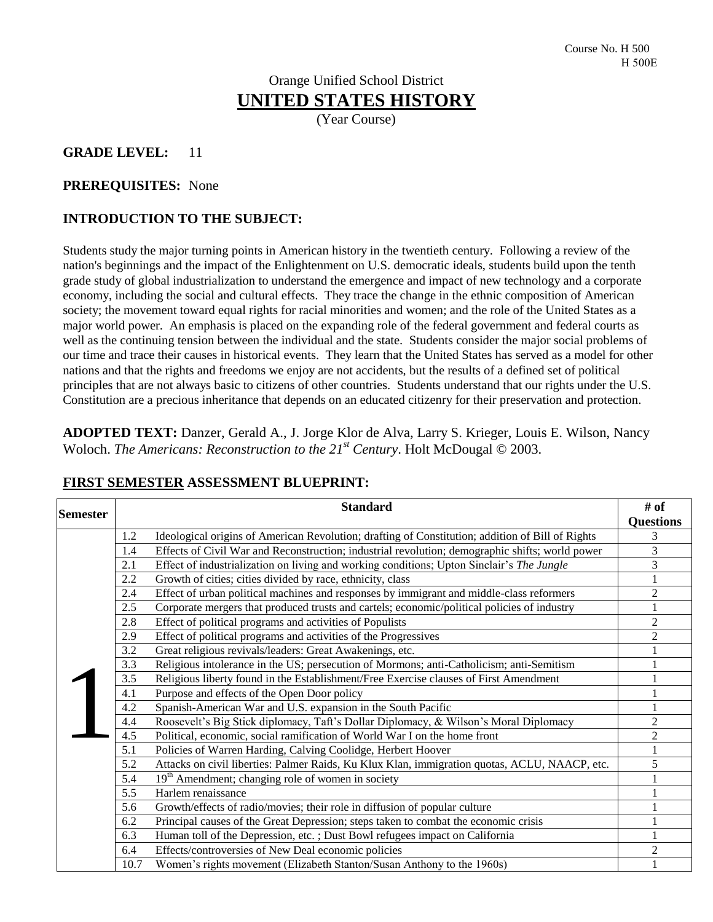# Orange Unified School District **UNITED STATES HISTORY**

(Year Course)

### **GRADE LEVEL:** 11

#### **PREREQUISITES:** None

#### **INTRODUCTION TO THE SUBJECT:**

Students study the major turning points in American history in the twentieth century. Following a review of the nation's beginnings and the impact of the Enlightenment on U.S. democratic ideals, students build upon the tenth grade study of global industrialization to understand the emergence and impact of new technology and a corporate economy, including the social and cultural effects. They trace the change in the ethnic composition of American society; the movement toward equal rights for racial minorities and women; and the role of the United States as a major world power. An emphasis is placed on the expanding role of the federal government and federal courts as well as the continuing tension between the individual and the state. Students consider the major social problems of our time and trace their causes in historical events. They learn that the United States has served as a model for other nations and that the rights and freedoms we enjoy are not accidents, but the results of a defined set of political principles that are not always basic to citizens of other countries. Students understand that our rights under the U.S. Constitution are a precious inheritance that depends on an educated citizenry for their preservation and protection.

**ADOPTED TEXT:** Danzer, Gerald A., J. Jorge Klor de Alva, Larry S. Krieger, Louis E. Wilson, Nancy Woloch. *The Americans: Reconstruction to the 21st Century*. Holt McDougal © 2003.

| <b>Semester</b> | <b>Standard</b> |                                                                                                  |                  |
|-----------------|-----------------|--------------------------------------------------------------------------------------------------|------------------|
|                 |                 |                                                                                                  | <b>Questions</b> |
|                 | 1.2             | Ideological origins of American Revolution; drafting of Constitution; addition of Bill of Rights | 3                |
|                 | 1.4             | Effects of Civil War and Reconstruction; industrial revolution; demographic shifts; world power  | 3                |
|                 | 2.1             | Effect of industrialization on living and working conditions; Upton Sinclair's The Jungle        | 3                |
|                 | 2.2             | Growth of cities; cities divided by race, ethnicity, class                                       |                  |
|                 | 2.4             | Effect of urban political machines and responses by immigrant and middle-class reformers         | $\overline{c}$   |
|                 | 2.5             | Corporate mergers that produced trusts and cartels; economic/political policies of industry      |                  |
|                 | 2.8             | Effect of political programs and activities of Populists                                         | $\overline{2}$   |
|                 | 2.9             | Effect of political programs and activities of the Progressives                                  | $\overline{2}$   |
|                 | 3.2             | Great religious revivals/leaders: Great Awakenings, etc.                                         |                  |
|                 | 3.3             | Religious intolerance in the US; persecution of Mormons; anti-Catholicism; anti-Semitism         |                  |
|                 | 3.5             | Religious liberty found in the Establishment/Free Exercise clauses of First Amendment            |                  |
|                 | 4.1             | Purpose and effects of the Open Door policy                                                      |                  |
|                 | 4.2             | Spanish-American War and U.S. expansion in the South Pacific                                     |                  |
|                 | 4.4             | Roosevelt's Big Stick diplomacy, Taft's Dollar Diplomacy, & Wilson's Moral Diplomacy             | 2                |
|                 | 4.5             | Political, economic, social ramification of World War I on the home front                        | 2                |
|                 | 5.1             | Policies of Warren Harding, Calving Coolidge, Herbert Hoover                                     | $\mathbf{1}$     |
|                 | 5.2             | Attacks on civil liberties: Palmer Raids, Ku Klux Klan, immigration quotas, ACLU, NAACP, etc.    | 5                |
|                 | 5.4             | 19 <sup>th</sup> Amendment; changing role of women in society                                    |                  |
|                 | 5.5             | Harlem renaissance                                                                               |                  |
|                 | 5.6             | Growth/effects of radio/movies; their role in diffusion of popular culture                       |                  |
|                 | 6.2             | Principal causes of the Great Depression; steps taken to combat the economic crisis              |                  |
|                 | 6.3             | Human toll of the Depression, etc.; Dust Bowl refugees impact on California                      |                  |
|                 | 6.4             | Effects/controversies of New Deal economic policies                                              | $\overline{c}$   |
|                 | 10.7            | Women's rights movement (Elizabeth Stanton/Susan Anthony to the 1960s)                           |                  |

#### **FIRST SEMESTER ASSESSMENT BLUEPRINT:**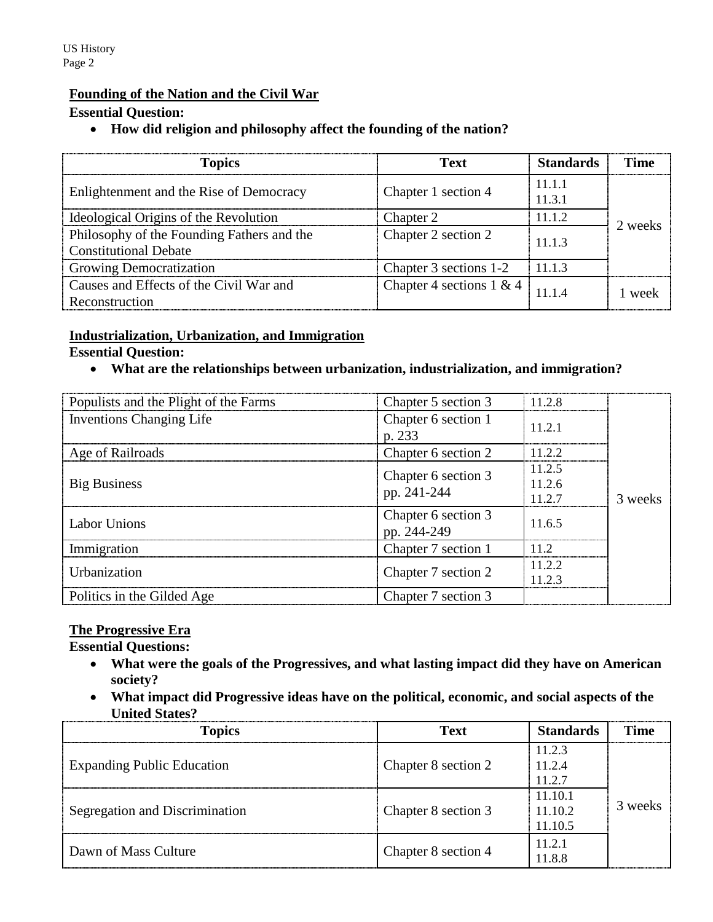#### **Founding of the Nation and the Civil War**

#### **Essential Question:**

#### **How did religion and philosophy affect the founding of the nation?**

| <b>Topics</b>                                                              | <b>Text</b>                 | <b>Standards</b> | Time    |
|----------------------------------------------------------------------------|-----------------------------|------------------|---------|
| Enlightenment and the Rise of Democracy                                    | Chapter 1 section 4         | 11.1.1<br>11.3.1 |         |
| Ideological Origins of the Revolution                                      | Chapter 2                   | 11.1.2           | 2 weeks |
| Philosophy of the Founding Fathers and the<br><b>Constitutional Debate</b> | Chapter 2 section 2         | 11.1.3           |         |
| <b>Growing Democratization</b>                                             | Chapter 3 sections 1-2      | 1113             |         |
| Causes and Effects of the Civil War and<br>Reconstruction                  | Chapter 4 sections $1 \& 4$ | 11 1 4           | 1 week  |

#### **Industrialization, Urbanization, and Immigration**

#### **Essential Question:**

**What are the relationships between urbanization, industrialization, and immigration?**

| Populists and the Plight of the Farms | Chapter 5 section 3                | 11.2.8 |         |
|---------------------------------------|------------------------------------|--------|---------|
| <b>Inventions Changing Life</b>       | Chapter 6 section 1<br>p. 233      | 11.2.1 |         |
| Age of Railroads                      | Chapter 6 section 2                | 1122   |         |
|                                       | Chapter 6 section 3                | 11.2.5 |         |
| <b>Big Business</b>                   | pp. 241-244                        | 11.2.6 | 3 weeks |
|                                       |                                    | 11 2.7 |         |
| Labor Unions                          | Chapter 6 section 3<br>pp. 244-249 | 11.6.5 |         |
| Immigration                           | Chapter 7 section 1                | 11.2   |         |
| Urbanization                          |                                    | 11.2.2 |         |
|                                       | Chapter 7 section 2                | 1123   |         |
| Politics in the Gilded Age            | Chapter 7 section 3                |        |         |

#### **The Progressive Era**

**Essential Questions:** 

- **What were the goals of the Progressives, and what lasting impact did they have on American society?**
- **What impact did Progressive ideas have on the political, economic, and social aspects of the United States?**

| <b>Topics</b>                     | <b>Text</b>         | <b>Standards</b> | <b>Time</b> |
|-----------------------------------|---------------------|------------------|-------------|
|                                   |                     | 11.2.3           |             |
| <b>Expanding Public Education</b> | Chapter 8 section 2 | 11.2.4           | 3 weeks     |
|                                   |                     | 11.2.7           |             |
|                                   | Chapter 8 section 3 | 11.10.1          |             |
| Segregation and Discrimination    |                     | 11.10.2          |             |
|                                   |                     | 11.10.5          |             |
| Dawn of Mass Culture              | Chapter 8 section 4 | 11.2.1<br>11.8.8 |             |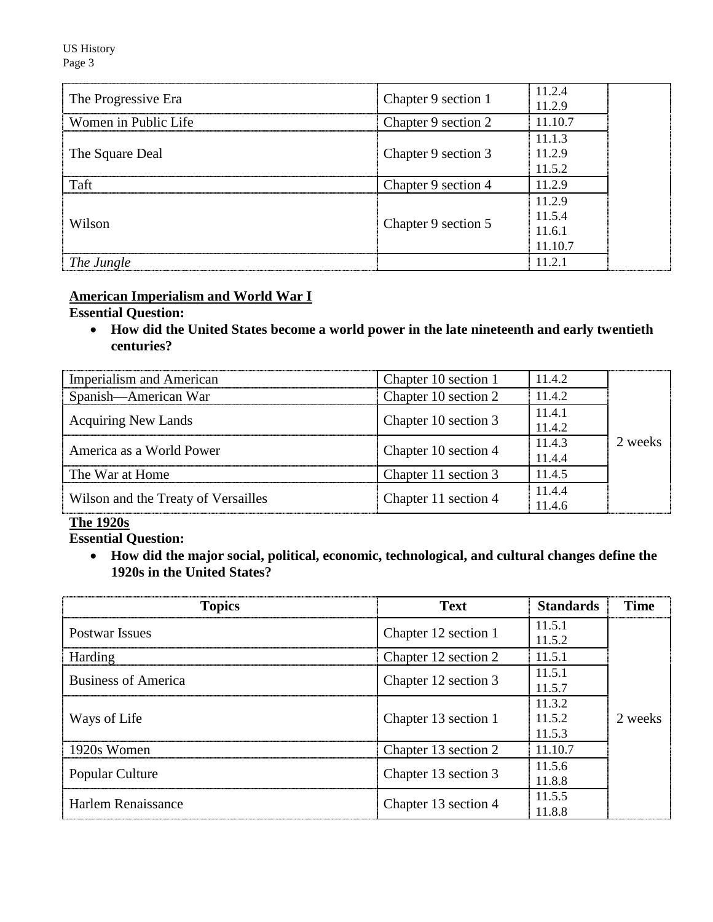US History Page 3

| The Progressive Era  | Chapter 9 section 1 | 11.2.4<br>11.2.9                      |
|----------------------|---------------------|---------------------------------------|
| Women in Public Life | Chapter 9 section 2 | 11.10.7                               |
| The Square Deal      | Chapter 9 section 3 | 11.1.3<br>11.2.9<br>11.5.2            |
| Taft                 | Chapter 9 section 4 | 11.2.9                                |
| Wilson               | Chapter 9 section 5 | 11.2.9<br>11.5.4<br>11.6.1<br>11.10.7 |
| The Jungle           |                     | 11.2.1                                |

# **American Imperialism and World War I**

#### **Essential Question:**

 **How did the United States become a world power in the late nineteenth and early twentieth centuries?**

| <b>Imperialism and American</b>     | Chapter 10 section 1 | 11.4.2 |         |
|-------------------------------------|----------------------|--------|---------|
| Spanish—American War                | Chapter 10 section 2 | 11.4.2 |         |
| <b>Acquiring New Lands</b>          | Chapter 10 section 3 | 11.4.1 |         |
|                                     |                      | 11.4.2 |         |
| America as a World Power            | Chapter 10 section 4 | 11.4.3 | 2 weeks |
|                                     |                      | 11.4.4 |         |
| The War at Home                     | Chapter 11 section 3 | 11.4.5 |         |
| Wilson and the Treaty of Versailles | Chapter 11 section 4 | 11.4.4 |         |
|                                     |                      | 11.4.6 |         |

# **The 1920s**

**Essential Question:** 

 **How did the major social, political, economic, technological, and cultural changes define the 1920s in the United States?**

| <b>Topics</b>              | <b>Text</b>          | <b>Standards</b>           | <b>Time</b> |
|----------------------------|----------------------|----------------------------|-------------|
| <b>Postwar Issues</b>      | Chapter 12 section 1 | 11.5.1<br>11.5.2           |             |
| Harding                    | Chapter 12 section 2 | 11.5.1                     |             |
| <b>Business of America</b> | Chapter 12 section 3 | 11.5.1<br>11.5.7           | 2 weeks     |
| Ways of Life               | Chapter 13 section 1 | 11.3.2<br>11.5.2<br>11.5.3 |             |
| 1920s Women                | Chapter 13 section 2 | 11.10.7                    |             |
| <b>Popular Culture</b>     | Chapter 13 section 3 | 11.5.6<br>11.8.8           |             |
| Harlem Renaissance         | Chapter 13 section 4 | 11.5.5<br>11.8.8           |             |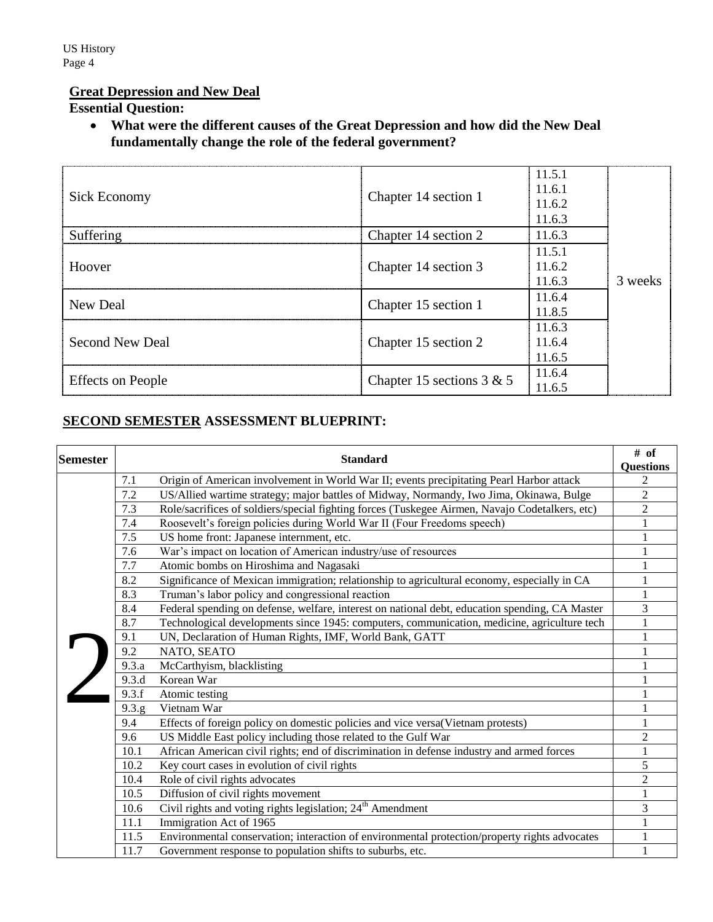# **Great Depression and New Deal**

# **Essential Question:**

 **What were the different causes of the Great Depression and how did the New Deal fundamentally change the role of the federal government?**

| Sick Economy             | Chapter 14 section 1        | 11.5.1<br>11.6.1<br>11.6.2<br>11.6.3 |         |
|--------------------------|-----------------------------|--------------------------------------|---------|
| Suffering                | Chapter 14 section 2        | 11.6.3                               |         |
|                          |                             | 11.5.1                               |         |
| Hoover                   | Chapter 14 section 3        | 11.6.2                               |         |
|                          |                             | 11.6.3                               | 3 weeks |
| New Deal                 | Chapter 15 section 1        | 11.6.4                               |         |
|                          |                             | 11.8.5                               |         |
|                          |                             | 11.6.3                               |         |
| Second New Deal          | Chapter 15 section 2        | 11.6.4                               |         |
|                          |                             | 11.6.5                               |         |
|                          | Chapter 15 sections $3 & 5$ | 11.6.4                               |         |
| <b>Effects</b> on People |                             | 11.6.5                               |         |

# **SECOND SEMESTER ASSESSMENT BLUEPRINT:**

|  | <b>Semester</b><br><b>Standard</b> |                                                                                                | # of             |
|--|------------------------------------|------------------------------------------------------------------------------------------------|------------------|
|  |                                    |                                                                                                | <b>Questions</b> |
|  | 7.1                                | Origin of American involvement in World War II; events precipitating Pearl Harbor attack       | 2                |
|  | 7.2                                | US/Allied wartime strategy; major battles of Midway, Normandy, Iwo Jima, Okinawa, Bulge        | $\overline{2}$   |
|  | 7.3                                | Role/sacrifices of soldiers/special fighting forces (Tuskegee Airmen, Navajo Codetalkers, etc) | 2                |
|  | 7.4                                | Roosevelt's foreign policies during World War II (Four Freedoms speech)                        |                  |
|  | 7.5                                | US home front: Japanese internment, etc.                                                       |                  |
|  | 7.6                                | War's impact on location of American industry/use of resources                                 |                  |
|  | 7.7                                | Atomic bombs on Hiroshima and Nagasaki                                                         |                  |
|  | 8.2                                | Significance of Mexican immigration; relationship to agricultural economy, especially in CA    |                  |
|  | 8.3                                | Truman's labor policy and congressional reaction                                               |                  |
|  | 8.4                                | Federal spending on defense, welfare, interest on national debt, education spending, CA Master | 3                |
|  | 8.7                                | Technological developments since 1945: computers, communication, medicine, agriculture tech    |                  |
|  | 9.1                                | UN, Declaration of Human Rights, IMF, World Bank, GATT                                         |                  |
|  | 9.2                                | NATO, SEATO                                                                                    |                  |
|  | 9.3.a                              | McCarthyism, blacklisting                                                                      |                  |
|  | 9.3.d                              | Korean War                                                                                     |                  |
|  | 9.3.f                              | Atomic testing                                                                                 |                  |
|  | 9.3.g                              | Vietnam War                                                                                    |                  |
|  | 9.4                                | Effects of foreign policy on domestic policies and vice versa(Vietnam protests)                |                  |
|  | 9.6                                | US Middle East policy including those related to the Gulf War                                  | 2                |
|  | 10.1                               | African American civil rights; end of discrimination in defense industry and armed forces      |                  |
|  | 10.2                               | Key court cases in evolution of civil rights                                                   | 5                |
|  | 10.4                               | Role of civil rights advocates                                                                 | $\overline{c}$   |
|  | 10.5                               | Diffusion of civil rights movement                                                             |                  |
|  | 10.6                               | Civil rights and voting rights legislation; 24 <sup>th</sup> Amendment                         | 3                |
|  | 11.1                               | Immigration Act of 1965                                                                        |                  |
|  | 11.5                               | Environmental conservation; interaction of environmental protection/property rights advocates  |                  |
|  | 11.7                               | Government response to population shifts to suburbs, etc.                                      |                  |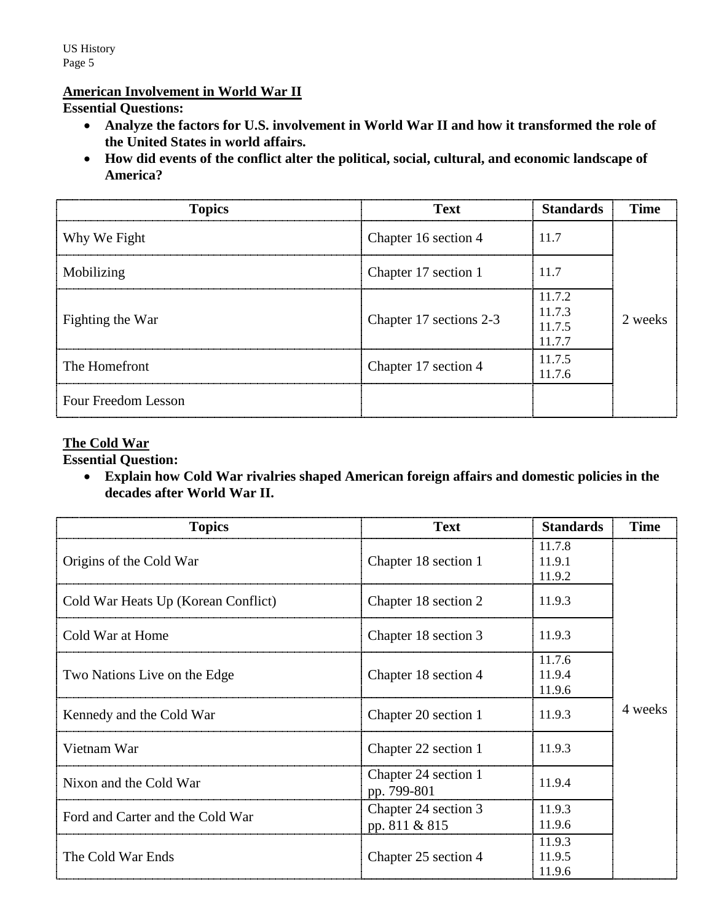# **American Involvement in World War II**

### **Essential Questions:**

- **Analyze the factors for U.S. involvement in World War II and how it transformed the role of the United States in world affairs.**
- **How did events of the conflict alter the political, social, cultural, and economic landscape of America?**

| <b>Topics</b>       | <b>Text</b>             | <b>Standards</b>                     | <b>Time</b> |
|---------------------|-------------------------|--------------------------------------|-------------|
| Why We Fight        | Chapter 16 section 4    | 11.7                                 | 2 weeks     |
| Mobilizing          | Chapter 17 section 1    | 11.7                                 |             |
| Fighting the War    | Chapter 17 sections 2-3 | 11.7.2<br>11.7.3<br>11.7.5<br>11.7.7 |             |
| The Homefront       | Chapter 17 section 4    | 11.7.5<br>11.7.6                     |             |
| Four Freedom Lesson |                         |                                      |             |

#### **The Cold War**

#### **Essential Question:**

 **Explain how Cold War rivalries shaped American foreign affairs and domestic policies in the decades after World War II.**

| <b>Topics</b>                       | <b>Text</b>                           | <b>Standards</b>           | <b>Time</b> |
|-------------------------------------|---------------------------------------|----------------------------|-------------|
| Origins of the Cold War             | Chapter 18 section 1                  | 11.7.8<br>11.9.1<br>11.9.2 |             |
| Cold War Heats Up (Korean Conflict) | Chapter 18 section 2                  | 11.9.3                     |             |
| Cold War at Home                    | Chapter 18 section 3                  | 11.9.3                     |             |
| Two Nations Live on the Edge        | Chapter 18 section 4                  | 11.7.6<br>11.9.4<br>11.9.6 | 4 weeks     |
| Kennedy and the Cold War            | Chapter 20 section 1                  | 11.9.3                     |             |
| Vietnam War                         | Chapter 22 section 1                  | 11.9.3                     |             |
| Nixon and the Cold War              | Chapter 24 section 1<br>pp. 799-801   | 11.9.4                     |             |
| Ford and Carter and the Cold War    | Chapter 24 section 3<br>pp. 811 & 815 | 11.9.3<br>11.9.6           |             |
| The Cold War Ends                   | Chapter 25 section 4                  | 11.9.3<br>11.9.5<br>11.9.6 |             |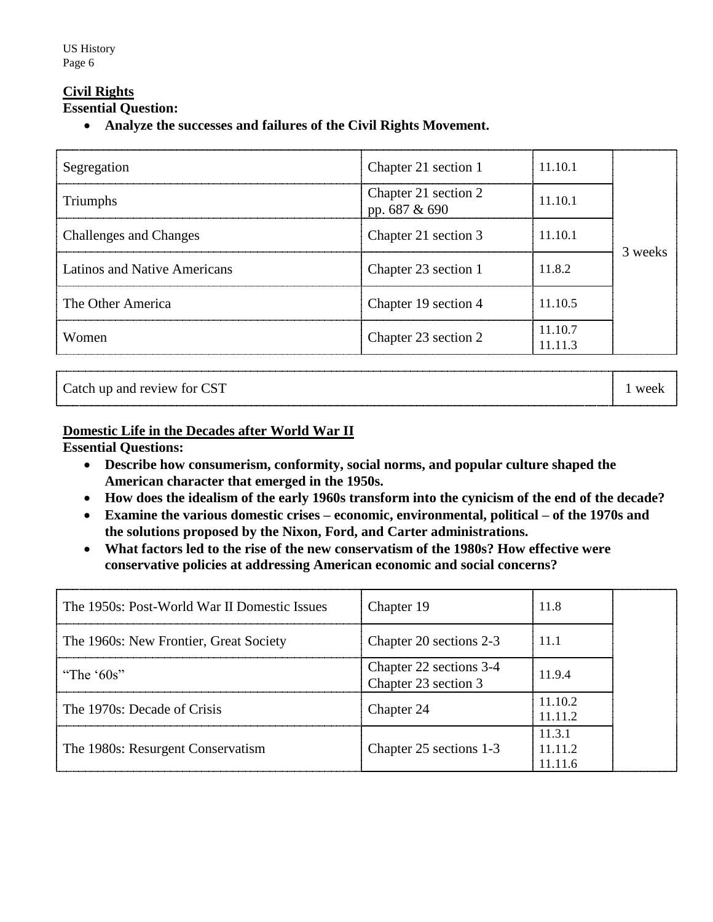# **Civil Rights**

**Essential Question:** 

**Analyze the successes and failures of the Civil Rights Movement.**

| Segregation                   | Chapter 21 section 1                     | 11.10.1            |         |
|-------------------------------|------------------------------------------|--------------------|---------|
| Triumphs                      | Chapter 21 section 2<br>pp. 687 $\&$ 690 | 11.10.1            | 3 weeks |
| <b>Challenges and Changes</b> | Chapter 21 section 3                     | 11.10.1            |         |
| Latinos and Native Americans  | Chapter 23 section 1                     | 11.8.2             |         |
| The Other America             | Chapter 19 section 4                     | 11.10.5            |         |
| Women                         | Chapter 23 section 2                     | 11 10 7<br>11.11.3 |         |

| ----------------          | ---------------<br> |
|---------------------------|---------------------|
| Catch up and review for C |                     |

### **Domestic Life in the Decades after World War II**

**Essential Questions:** 

- **Describe how consumerism, conformity, social norms, and popular culture shaped the American character that emerged in the 1950s.**
- **How does the idealism of the early 1960s transform into the cynicism of the end of the decade?**
- **Examine the various domestic crises – economic, environmental, political – of the 1970s and the solutions proposed by the Nixon, Ford, and Carter administrations.**
- **What factors led to the rise of the new conservatism of the 1980s? How effective were conservative policies at addressing American economic and social concerns?**

| The 1950s: Post-World War II Domestic Issues | Chapter 19                                      | 11.8                       |  |
|----------------------------------------------|-------------------------------------------------|----------------------------|--|
| The 1960s: New Frontier, Great Society       | Chapter 20 sections 2-3                         | 11.1                       |  |
| "The ' $60s$ "                               | Chapter 22 sections 3-4<br>Chapter 23 section 3 | 11.9.4                     |  |
| The 1970s: Decade of Crisis                  | Chapter 24                                      | 11.10.2<br>11112           |  |
| The 1980s: Resurgent Conservatism            | Chapter 25 sections 1-3                         | 11.3.1<br>11.11.2<br>11116 |  |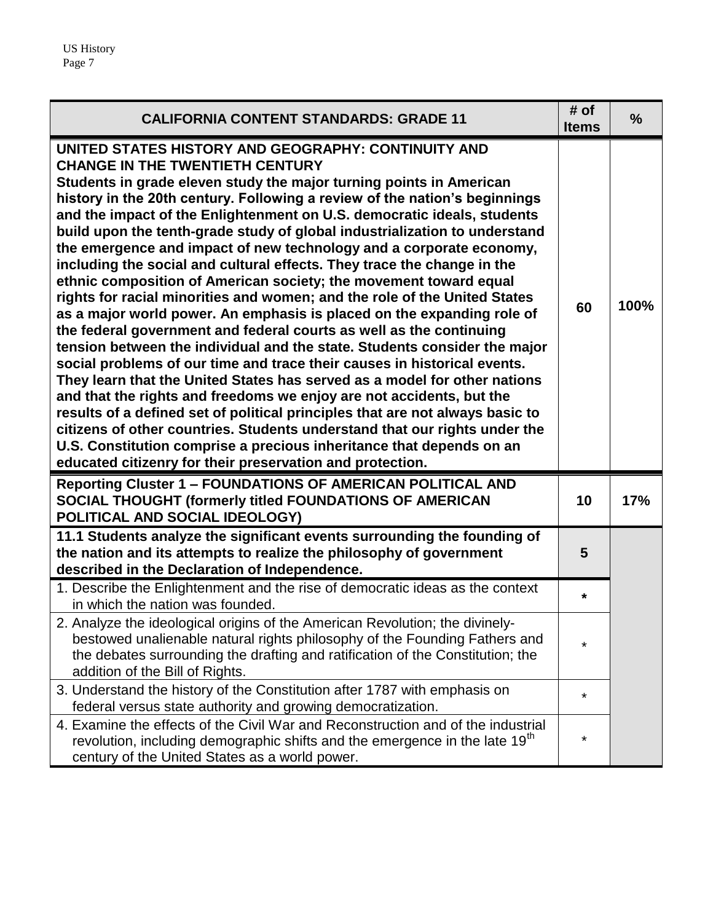| <b>CALIFORNIA CONTENT STANDARDS: GRADE 11</b>                                                                                                                                                                                                                                                                                                                                                                                                                                                                                                                                                                                                                                                                                                                                                                                                                                                                                                                                                                                                                                                                                                                                                                                                                                                                                                                                                                                                                                      | # of<br><b>Items</b> | $\frac{0}{0}$ |
|------------------------------------------------------------------------------------------------------------------------------------------------------------------------------------------------------------------------------------------------------------------------------------------------------------------------------------------------------------------------------------------------------------------------------------------------------------------------------------------------------------------------------------------------------------------------------------------------------------------------------------------------------------------------------------------------------------------------------------------------------------------------------------------------------------------------------------------------------------------------------------------------------------------------------------------------------------------------------------------------------------------------------------------------------------------------------------------------------------------------------------------------------------------------------------------------------------------------------------------------------------------------------------------------------------------------------------------------------------------------------------------------------------------------------------------------------------------------------------|----------------------|---------------|
| UNITED STATES HISTORY AND GEOGRAPHY: CONTINUITY AND<br><b>CHANGE IN THE TWENTIETH CENTURY</b><br>Students in grade eleven study the major turning points in American<br>history in the 20th century. Following a review of the nation's beginnings<br>and the impact of the Enlightenment on U.S. democratic ideals, students<br>build upon the tenth-grade study of global industrialization to understand<br>the emergence and impact of new technology and a corporate economy,<br>including the social and cultural effects. They trace the change in the<br>ethnic composition of American society; the movement toward equal<br>rights for racial minorities and women; and the role of the United States<br>as a major world power. An emphasis is placed on the expanding role of<br>the federal government and federal courts as well as the continuing<br>tension between the individual and the state. Students consider the major<br>social problems of our time and trace their causes in historical events.<br>They learn that the United States has served as a model for other nations<br>and that the rights and freedoms we enjoy are not accidents, but the<br>results of a defined set of political principles that are not always basic to<br>citizens of other countries. Students understand that our rights under the<br>U.S. Constitution comprise a precious inheritance that depends on an<br>educated citizenry for their preservation and protection. | 60                   | 100%          |
| <b>Reporting Cluster 1 - FOUNDATIONS OF AMERICAN POLITICAL AND</b><br>SOCIAL THOUGHT (formerly titled FOUNDATIONS OF AMERICAN<br>POLITICAL AND SOCIAL IDEOLOGY)                                                                                                                                                                                                                                                                                                                                                                                                                                                                                                                                                                                                                                                                                                                                                                                                                                                                                                                                                                                                                                                                                                                                                                                                                                                                                                                    | 10                   | 17%           |
| 11.1 Students analyze the significant events surrounding the founding of<br>the nation and its attempts to realize the philosophy of government<br>described in the Declaration of Independence.                                                                                                                                                                                                                                                                                                                                                                                                                                                                                                                                                                                                                                                                                                                                                                                                                                                                                                                                                                                                                                                                                                                                                                                                                                                                                   | 5                    |               |
| 1. Describe the Enlightenment and the rise of democratic ideas as the context<br>in which the nation was founded.                                                                                                                                                                                                                                                                                                                                                                                                                                                                                                                                                                                                                                                                                                                                                                                                                                                                                                                                                                                                                                                                                                                                                                                                                                                                                                                                                                  | *                    |               |
| 2. Analyze the ideological origins of the American Revolution; the divinely-<br>bestowed unalienable natural rights philosophy of the Founding Fathers and<br>the debates surrounding the drafting and ratification of the Constitution; the<br>addition of the Bill of Rights.                                                                                                                                                                                                                                                                                                                                                                                                                                                                                                                                                                                                                                                                                                                                                                                                                                                                                                                                                                                                                                                                                                                                                                                                    | *                    |               |
| 3. Understand the history of the Constitution after 1787 with emphasis on<br>federal versus state authority and growing democratization.                                                                                                                                                                                                                                                                                                                                                                                                                                                                                                                                                                                                                                                                                                                                                                                                                                                                                                                                                                                                                                                                                                                                                                                                                                                                                                                                           | ¥                    |               |
| 4. Examine the effects of the Civil War and Reconstruction and of the industrial<br>revolution, including demographic shifts and the emergence in the late 19 <sup>th</sup><br>century of the United States as a world power.                                                                                                                                                                                                                                                                                                                                                                                                                                                                                                                                                                                                                                                                                                                                                                                                                                                                                                                                                                                                                                                                                                                                                                                                                                                      | ÷                    |               |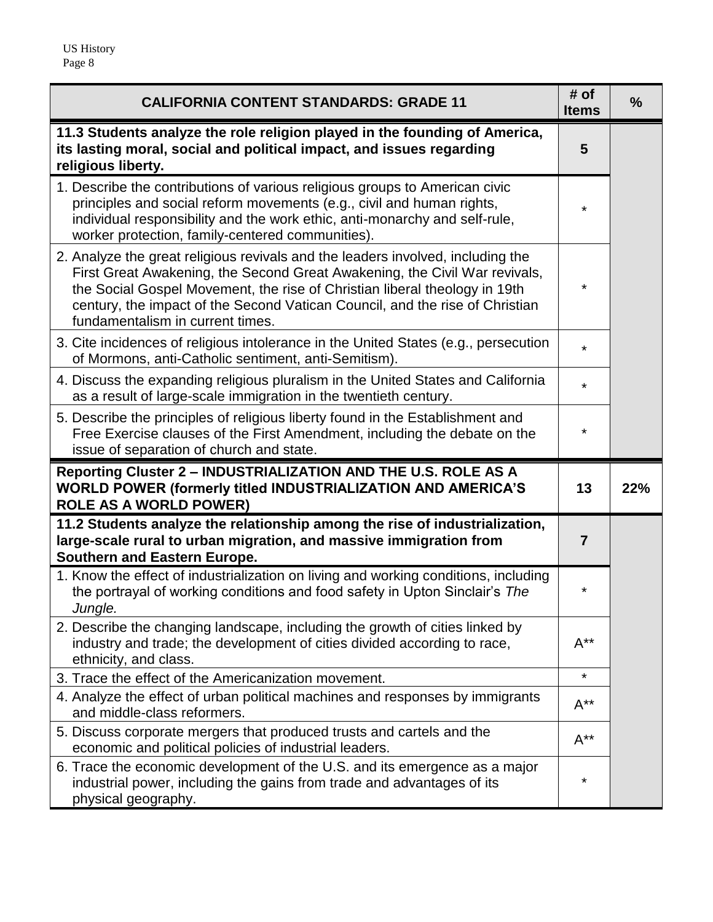| <b>CALIFORNIA CONTENT STANDARDS: GRADE 11</b>                                                                                                                                                                                                                                                                                                                   | # of<br><b>Items</b> | $\frac{9}{6}$ |
|-----------------------------------------------------------------------------------------------------------------------------------------------------------------------------------------------------------------------------------------------------------------------------------------------------------------------------------------------------------------|----------------------|---------------|
| 11.3 Students analyze the role religion played in the founding of America,<br>its lasting moral, social and political impact, and issues regarding<br>religious liberty.                                                                                                                                                                                        | 5                    |               |
| 1. Describe the contributions of various religious groups to American civic<br>principles and social reform movements (e.g., civil and human rights,<br>individual responsibility and the work ethic, anti-monarchy and self-rule,<br>worker protection, family-centered communities).                                                                          | *                    |               |
| 2. Analyze the great religious revivals and the leaders involved, including the<br>First Great Awakening, the Second Great Awakening, the Civil War revivals,<br>the Social Gospel Movement, the rise of Christian liberal theology in 19th<br>century, the impact of the Second Vatican Council, and the rise of Christian<br>fundamentalism in current times. | *                    |               |
| 3. Cite incidences of religious intolerance in the United States (e.g., persecution<br>of Mormons, anti-Catholic sentiment, anti-Semitism).                                                                                                                                                                                                                     | $\star$              |               |
| 4. Discuss the expanding religious pluralism in the United States and California<br>as a result of large-scale immigration in the twentieth century.                                                                                                                                                                                                            | $\star$              |               |
| 5. Describe the principles of religious liberty found in the Establishment and<br>Free Exercise clauses of the First Amendment, including the debate on the<br>issue of separation of church and state.                                                                                                                                                         | ¥                    |               |
| Reporting Cluster 2 - INDUSTRIALIZATION AND THE U.S. ROLE AS A<br>WORLD POWER (formerly titled INDUSTRIALIZATION AND AMERICA'S<br><b>ROLE AS A WORLD POWER)</b>                                                                                                                                                                                                 | 13                   | 22%           |
| 11.2 Students analyze the relationship among the rise of industrialization,<br>large-scale rural to urban migration, and massive immigration from<br><b>Southern and Eastern Europe.</b>                                                                                                                                                                        | $\overline{7}$       |               |
| 1. Know the effect of industrialization on living and working conditions, including<br>the portrayal of working conditions and food safety in Upton Sinclair's The<br>Jungle.                                                                                                                                                                                   | *                    |               |
| 2. Describe the changing landscape, including the growth of cities linked by<br>industry and trade; the development of cities divided according to race,<br>ethnicity, and class.                                                                                                                                                                               | $A^{**}$             |               |
| 3. Trace the effect of the Americanization movement.                                                                                                                                                                                                                                                                                                            | $\star$              |               |
| 4. Analyze the effect of urban political machines and responses by immigrants<br>and middle-class reformers.                                                                                                                                                                                                                                                    | $A^{**}$             |               |
| 5. Discuss corporate mergers that produced trusts and cartels and the<br>economic and political policies of industrial leaders.                                                                                                                                                                                                                                 | $A^{**}$             |               |
| 6. Trace the economic development of the U.S. and its emergence as a major<br>industrial power, including the gains from trade and advantages of its<br>physical geography.                                                                                                                                                                                     | $^\star$             |               |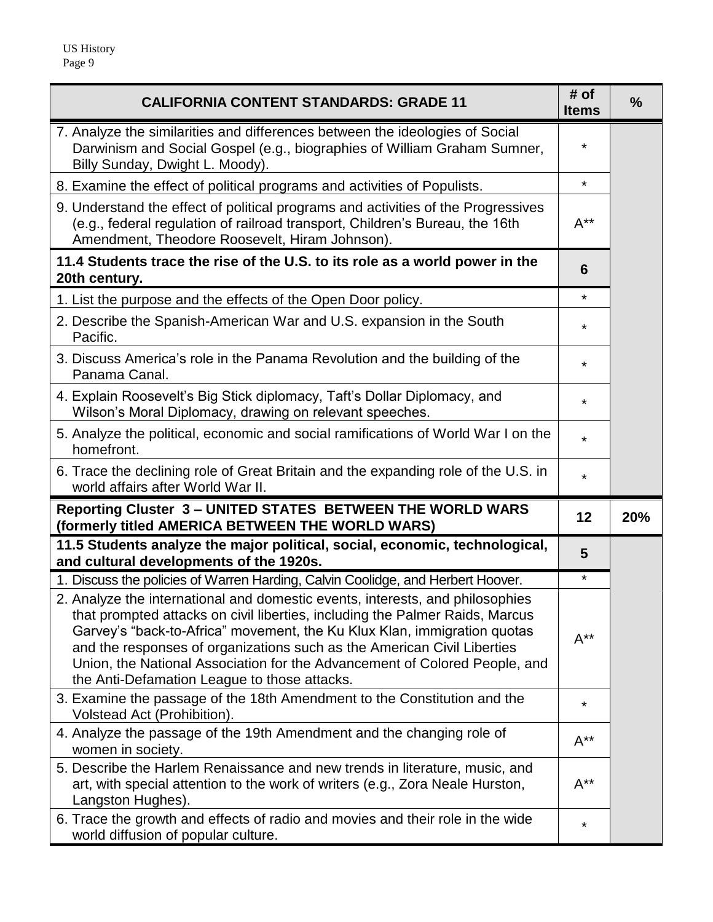| <b>CALIFORNIA CONTENT STANDARDS: GRADE 11</b>                                                                                                                                                                                                                                                                                                                                                                                                      | # of<br><b>Items</b> | $\frac{9}{6}$ |
|----------------------------------------------------------------------------------------------------------------------------------------------------------------------------------------------------------------------------------------------------------------------------------------------------------------------------------------------------------------------------------------------------------------------------------------------------|----------------------|---------------|
| 7. Analyze the similarities and differences between the ideologies of Social<br>Darwinism and Social Gospel (e.g., biographies of William Graham Sumner,<br>Billy Sunday, Dwight L. Moody).                                                                                                                                                                                                                                                        | *                    |               |
| 8. Examine the effect of political programs and activities of Populists.                                                                                                                                                                                                                                                                                                                                                                           | $\star$              |               |
| 9. Understand the effect of political programs and activities of the Progressives<br>(e.g., federal regulation of railroad transport, Children's Bureau, the 16th<br>Amendment, Theodore Roosevelt, Hiram Johnson).                                                                                                                                                                                                                                | $A^{**}$             |               |
| 11.4 Students trace the rise of the U.S. to its role as a world power in the<br>20th century.                                                                                                                                                                                                                                                                                                                                                      | 6                    |               |
| 1. List the purpose and the effects of the Open Door policy.                                                                                                                                                                                                                                                                                                                                                                                       | *                    |               |
| 2. Describe the Spanish-American War and U.S. expansion in the South<br>Pacific.                                                                                                                                                                                                                                                                                                                                                                   | $\star$              |               |
| 3. Discuss America's role in the Panama Revolution and the building of the<br>Panama Canal.                                                                                                                                                                                                                                                                                                                                                        | *                    |               |
| 4. Explain Roosevelt's Big Stick diplomacy, Taft's Dollar Diplomacy, and<br>Wilson's Moral Diplomacy, drawing on relevant speeches.                                                                                                                                                                                                                                                                                                                | *                    |               |
| 5. Analyze the political, economic and social ramifications of World War I on the<br>homefront.                                                                                                                                                                                                                                                                                                                                                    | $\star$              |               |
| 6. Trace the declining role of Great Britain and the expanding role of the U.S. in<br>world affairs after World War II.                                                                                                                                                                                                                                                                                                                            | $\star$              |               |
| Reporting Cluster 3 - UNITED STATES BETWEEN THE WORLD WARS<br>(formerly titled AMERICA BETWEEN THE WORLD WARS)                                                                                                                                                                                                                                                                                                                                     | 12                   | 20%           |
| 11.5 Students analyze the major political, social, economic, technological,<br>and cultural developments of the 1920s.                                                                                                                                                                                                                                                                                                                             | 5                    |               |
| 1. Discuss the policies of Warren Harding, Calvin Coolidge, and Herbert Hoover.                                                                                                                                                                                                                                                                                                                                                                    | *                    |               |
| 2. Analyze the international and domestic events, interests, and philosophies<br>that prompted attacks on civil liberties, including the Palmer Raids, Marcus<br>Garvey's "back-to-Africa" movement, the Ku Klux Klan, immigration quotas<br>and the responses of organizations such as the American Civil Liberties<br>Union, the National Association for the Advancement of Colored People, and<br>the Anti-Defamation League to those attacks. | $A^{**}$             |               |
| 3. Examine the passage of the 18th Amendment to the Constitution and the<br>Volstead Act (Prohibition).                                                                                                                                                                                                                                                                                                                                            | $\star$              |               |
| 4. Analyze the passage of the 19th Amendment and the changing role of<br>women in society.                                                                                                                                                                                                                                                                                                                                                         | $A^{**}$             |               |
| 5. Describe the Harlem Renaissance and new trends in literature, music, and<br>art, with special attention to the work of writers (e.g., Zora Neale Hurston,<br>Langston Hughes).                                                                                                                                                                                                                                                                  | $A^{**}$             |               |
| 6. Trace the growth and effects of radio and movies and their role in the wide<br>world diffusion of popular culture.                                                                                                                                                                                                                                                                                                                              | $\star$              |               |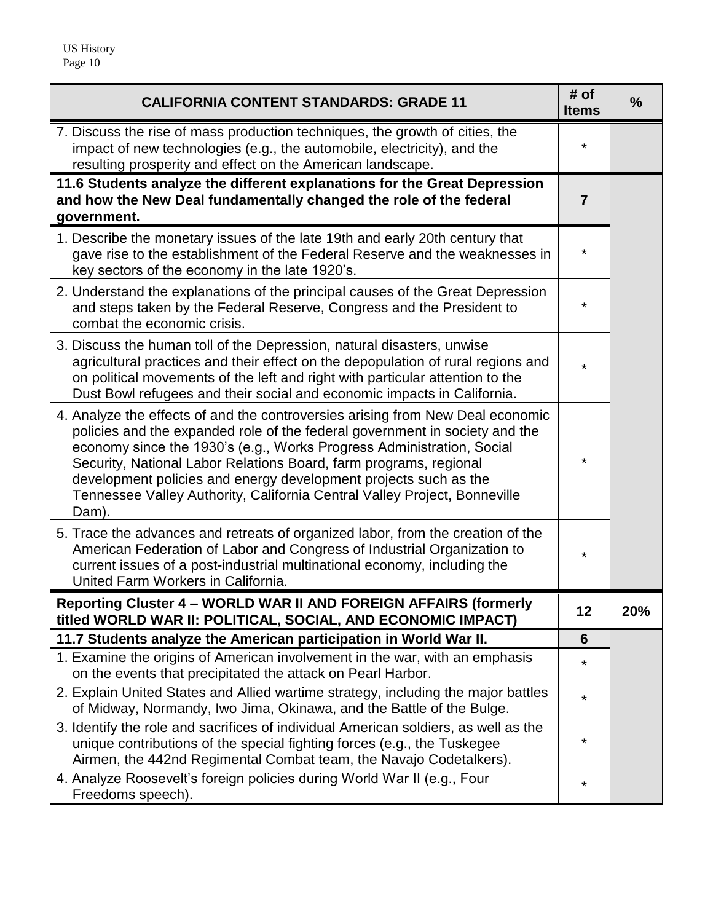| <b>CALIFORNIA CONTENT STANDARDS: GRADE 11</b>                                                                                                                                                                                                                                                                                                                                                                                                                         | # of<br><b>Items</b> | $\frac{9}{6}$ |
|-----------------------------------------------------------------------------------------------------------------------------------------------------------------------------------------------------------------------------------------------------------------------------------------------------------------------------------------------------------------------------------------------------------------------------------------------------------------------|----------------------|---------------|
| 7. Discuss the rise of mass production techniques, the growth of cities, the<br>impact of new technologies (e.g., the automobile, electricity), and the<br>resulting prosperity and effect on the American landscape.                                                                                                                                                                                                                                                 | *                    |               |
| 11.6 Students analyze the different explanations for the Great Depression<br>and how the New Deal fundamentally changed the role of the federal<br>government.                                                                                                                                                                                                                                                                                                        | 7                    |               |
| 1. Describe the monetary issues of the late 19th and early 20th century that<br>gave rise to the establishment of the Federal Reserve and the weaknesses in<br>key sectors of the economy in the late 1920's.                                                                                                                                                                                                                                                         | *                    |               |
| 2. Understand the explanations of the principal causes of the Great Depression<br>and steps taken by the Federal Reserve, Congress and the President to<br>combat the economic crisis.                                                                                                                                                                                                                                                                                | *                    |               |
| 3. Discuss the human toll of the Depression, natural disasters, unwise<br>agricultural practices and their effect on the depopulation of rural regions and<br>on political movements of the left and right with particular attention to the<br>Dust Bowl refugees and their social and economic impacts in California.                                                                                                                                                | $\star$              |               |
| 4. Analyze the effects of and the controversies arising from New Deal economic<br>policies and the expanded role of the federal government in society and the<br>economy since the 1930's (e.g., Works Progress Administration, Social<br>Security, National Labor Relations Board, farm programs, regional<br>development policies and energy development projects such as the<br>Tennessee Valley Authority, California Central Valley Project, Bonneville<br>Dam). | *                    |               |
| 5. Trace the advances and retreats of organized labor, from the creation of the<br>American Federation of Labor and Congress of Industrial Organization to<br>current issues of a post-industrial multinational economy, including the<br>United Farm Workers in California.                                                                                                                                                                                          | *                    |               |
| Reporting Cluster 4 - WORLD WAR II AND FOREIGN AFFAIRS (formerly<br>titled WORLD WAR II: POLITICAL, SOCIAL, AND ECONOMIC IMPACT)                                                                                                                                                                                                                                                                                                                                      | 12                   | 20%           |
| 11.7 Students analyze the American participation in World War II.                                                                                                                                                                                                                                                                                                                                                                                                     | 6                    |               |
| 1. Examine the origins of American involvement in the war, with an emphasis<br>on the events that precipitated the attack on Pearl Harbor.                                                                                                                                                                                                                                                                                                                            | *                    |               |
| 2. Explain United States and Allied wartime strategy, including the major battles<br>of Midway, Normandy, Iwo Jima, Okinawa, and the Battle of the Bulge.                                                                                                                                                                                                                                                                                                             | *                    |               |
| 3. Identify the role and sacrifices of individual American soldiers, as well as the<br>unique contributions of the special fighting forces (e.g., the Tuskegee<br>Airmen, the 442nd Regimental Combat team, the Navajo Codetalkers).                                                                                                                                                                                                                                  | *                    |               |
| 4. Analyze Roosevelt's foreign policies during World War II (e.g., Four<br>Freedoms speech).                                                                                                                                                                                                                                                                                                                                                                          | *                    |               |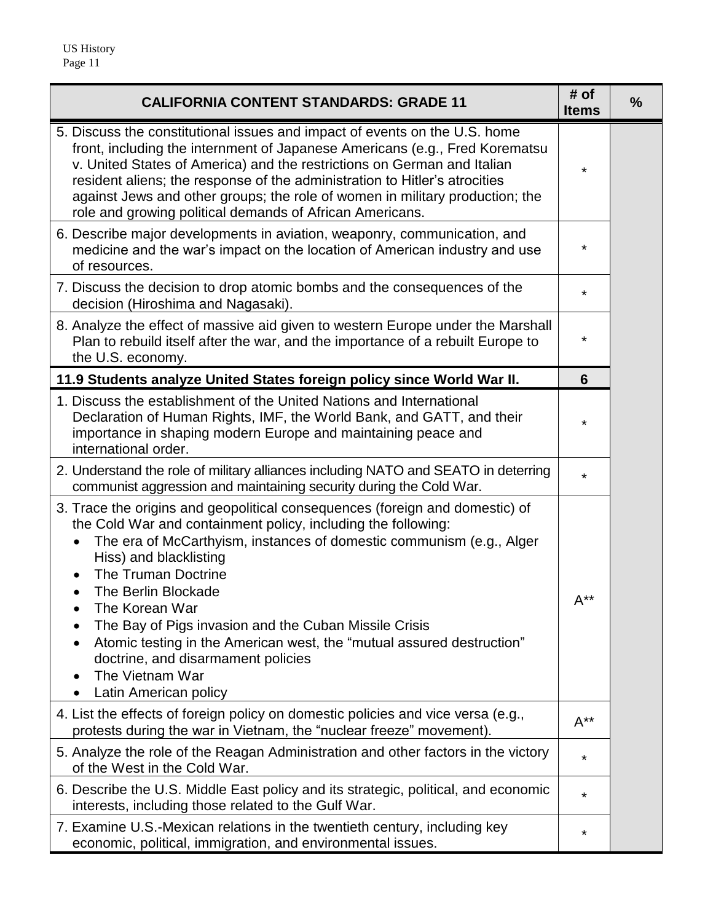| <b>CALIFORNIA CONTENT STANDARDS: GRADE 11</b>                                                                                                                                                                                                                                                                                                                                                                                                                                                                                       | # of<br><b>Items</b>      | $\frac{0}{0}$ |
|-------------------------------------------------------------------------------------------------------------------------------------------------------------------------------------------------------------------------------------------------------------------------------------------------------------------------------------------------------------------------------------------------------------------------------------------------------------------------------------------------------------------------------------|---------------------------|---------------|
| 5. Discuss the constitutional issues and impact of events on the U.S. home<br>front, including the internment of Japanese Americans (e.g., Fred Korematsu<br>v. United States of America) and the restrictions on German and Italian<br>resident aliens; the response of the administration to Hitler's atrocities<br>against Jews and other groups; the role of women in military production; the<br>role and growing political demands of African Americans.                                                                      | *                         |               |
| 6. Describe major developments in aviation, weaponry, communication, and<br>medicine and the war's impact on the location of American industry and use<br>of resources.                                                                                                                                                                                                                                                                                                                                                             | *                         |               |
| 7. Discuss the decision to drop atomic bombs and the consequences of the<br>decision (Hiroshima and Nagasaki).                                                                                                                                                                                                                                                                                                                                                                                                                      | *                         |               |
| 8. Analyze the effect of massive aid given to western Europe under the Marshall<br>Plan to rebuild itself after the war, and the importance of a rebuilt Europe to<br>the U.S. economy.                                                                                                                                                                                                                                                                                                                                             | *                         |               |
| 11.9 Students analyze United States foreign policy since World War II.                                                                                                                                                                                                                                                                                                                                                                                                                                                              | 6                         |               |
| 1. Discuss the establishment of the United Nations and International<br>Declaration of Human Rights, IMF, the World Bank, and GATT, and their<br>importance in shaping modern Europe and maintaining peace and<br>international order.                                                                                                                                                                                                                                                                                              | $\star$                   |               |
| 2. Understand the role of military alliances including NATO and SEATO in deterring<br>communist aggression and maintaining security during the Cold War.                                                                                                                                                                                                                                                                                                                                                                            | $\star$                   |               |
| 3. Trace the origins and geopolitical consequences (foreign and domestic) of<br>the Cold War and containment policy, including the following:<br>The era of McCarthyism, instances of domestic communism (e.g., Alger<br>Hiss) and blacklisting<br>The Truman Doctrine<br>The Berlin Blockade<br>The Korean War<br>The Bay of Pigs invasion and the Cuban Missile Crisis<br>Atomic testing in the American west, the "mutual assured destruction"<br>doctrine, and disarmament policies<br>The Vietnam War<br>Latin American policy | $\mathsf{A}^{\star\star}$ |               |
| 4. List the effects of foreign policy on domestic policies and vice versa (e.g.,<br>protests during the war in Vietnam, the "nuclear freeze" movement).                                                                                                                                                                                                                                                                                                                                                                             | $A^{**}$                  |               |
| 5. Analyze the role of the Reagan Administration and other factors in the victory<br>of the West in the Cold War.                                                                                                                                                                                                                                                                                                                                                                                                                   | $\star$                   |               |
| 6. Describe the U.S. Middle East policy and its strategic, political, and economic<br>interests, including those related to the Gulf War.                                                                                                                                                                                                                                                                                                                                                                                           | $\star$                   |               |
| 7. Examine U.S.-Mexican relations in the twentieth century, including key<br>economic, political, immigration, and environmental issues.                                                                                                                                                                                                                                                                                                                                                                                            | *                         |               |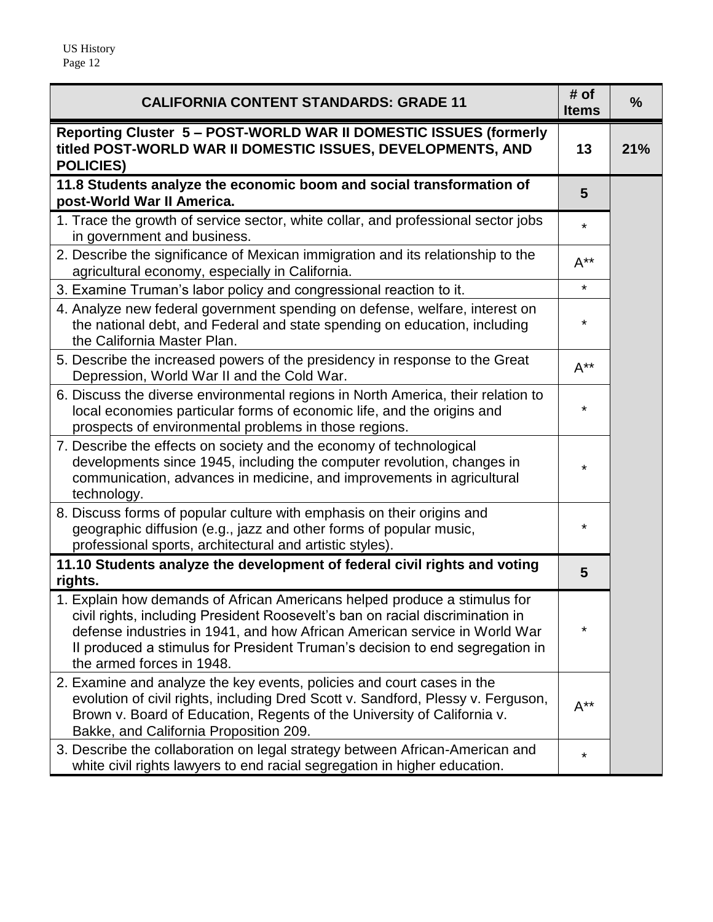| <b>CALIFORNIA CONTENT STANDARDS: GRADE 11</b>                                                                                                                                                                                                                                                                                                        | # of<br><b>Items</b> | $\frac{0}{0}$ |
|------------------------------------------------------------------------------------------------------------------------------------------------------------------------------------------------------------------------------------------------------------------------------------------------------------------------------------------------------|----------------------|---------------|
| Reporting Cluster 5 - POST-WORLD WAR II DOMESTIC ISSUES (formerly<br>titled POST-WORLD WAR II DOMESTIC ISSUES, DEVELOPMENTS, AND<br><b>POLICIES)</b>                                                                                                                                                                                                 | 13                   | 21%           |
| 11.8 Students analyze the economic boom and social transformation of<br>post-World War II America.                                                                                                                                                                                                                                                   | 5                    |               |
| 1. Trace the growth of service sector, white collar, and professional sector jobs<br>in government and business.                                                                                                                                                                                                                                     | $\star$              |               |
| 2. Describe the significance of Mexican immigration and its relationship to the<br>agricultural economy, especially in California.                                                                                                                                                                                                                   | $A^{**}$             |               |
| 3. Examine Truman's labor policy and congressional reaction to it.                                                                                                                                                                                                                                                                                   | $\star$              |               |
| 4. Analyze new federal government spending on defense, welfare, interest on<br>the national debt, and Federal and state spending on education, including<br>the California Master Plan.                                                                                                                                                              | *                    |               |
| 5. Describe the increased powers of the presidency in response to the Great<br>Depression, World War II and the Cold War.                                                                                                                                                                                                                            | $A^{**}$             |               |
| 6. Discuss the diverse environmental regions in North America, their relation to<br>local economies particular forms of economic life, and the origins and<br>prospects of environmental problems in those regions.                                                                                                                                  | *                    |               |
| 7. Describe the effects on society and the economy of technological<br>developments since 1945, including the computer revolution, changes in<br>communication, advances in medicine, and improvements in agricultural<br>technology.                                                                                                                | ¥                    |               |
| 8. Discuss forms of popular culture with emphasis on their origins and<br>geographic diffusion (e.g., jazz and other forms of popular music,<br>professional sports, architectural and artistic styles).                                                                                                                                             | *                    |               |
| 11.10 Students analyze the development of federal civil rights and voting<br>rights.                                                                                                                                                                                                                                                                 | 5                    |               |
| 1. Explain how demands of African Americans helped produce a stimulus for<br>civil rights, including President Roosevelt's ban on racial discrimination in<br>defense industries in 1941, and how African American service in World War<br>Il produced a stimulus for President Truman's decision to end segregation in<br>the armed forces in 1948. | *                    |               |
| 2. Examine and analyze the key events, policies and court cases in the<br>evolution of civil rights, including Dred Scott v. Sandford, Plessy v. Ferguson,<br>Brown v. Board of Education, Regents of the University of California v.<br>Bakke, and California Proposition 209.                                                                      | $A^{**}$             |               |
| 3. Describe the collaboration on legal strategy between African-American and<br>white civil rights lawyers to end racial segregation in higher education.                                                                                                                                                                                            | ¥                    |               |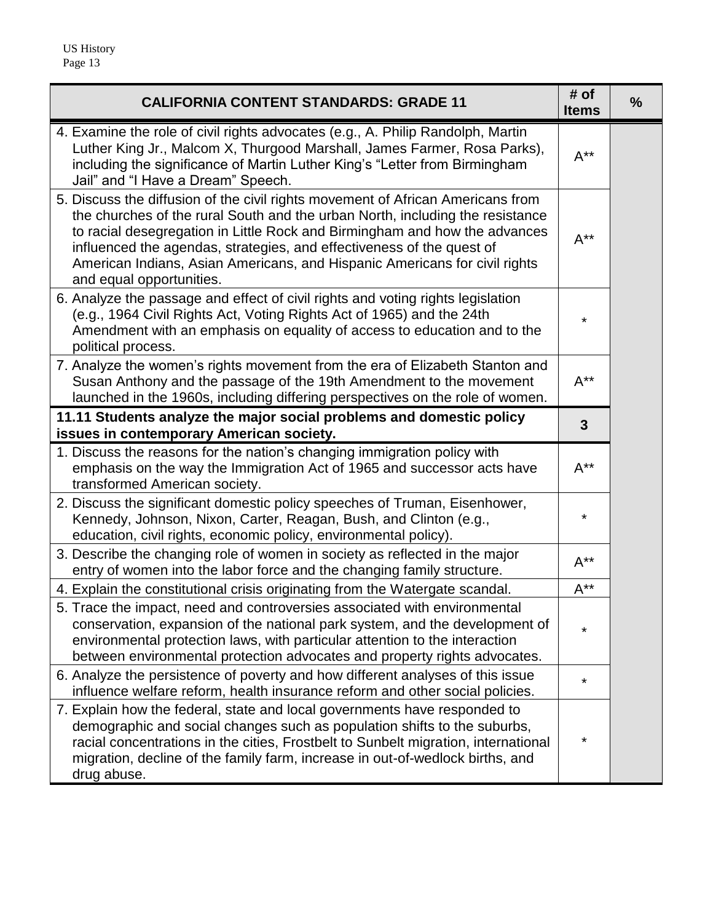| <b>CALIFORNIA CONTENT STANDARDS: GRADE 11</b>                                                                                                                                                                                                                                                                                                                                                                                     | # of<br><b>Items</b>      | $\frac{9}{6}$ |
|-----------------------------------------------------------------------------------------------------------------------------------------------------------------------------------------------------------------------------------------------------------------------------------------------------------------------------------------------------------------------------------------------------------------------------------|---------------------------|---------------|
| 4. Examine the role of civil rights advocates (e.g., A. Philip Randolph, Martin<br>Luther King Jr., Malcom X, Thurgood Marshall, James Farmer, Rosa Parks),<br>including the significance of Martin Luther King's "Letter from Birmingham<br>Jail" and "I Have a Dream" Speech.                                                                                                                                                   | $A^{**}$                  |               |
| 5. Discuss the diffusion of the civil rights movement of African Americans from<br>the churches of the rural South and the urban North, including the resistance<br>to racial desegregation in Little Rock and Birmingham and how the advances<br>influenced the agendas, strategies, and effectiveness of the quest of<br>American Indians, Asian Americans, and Hispanic Americans for civil rights<br>and equal opportunities. | $A^{**}$                  |               |
| 6. Analyze the passage and effect of civil rights and voting rights legislation<br>(e.g., 1964 Civil Rights Act, Voting Rights Act of 1965) and the 24th<br>Amendment with an emphasis on equality of access to education and to the<br>political process.                                                                                                                                                                        | *                         |               |
| 7. Analyze the women's rights movement from the era of Elizabeth Stanton and<br>Susan Anthony and the passage of the 19th Amendment to the movement<br>launched in the 1960s, including differing perspectives on the role of women.                                                                                                                                                                                              | $\mathsf{A}^{\star\star}$ |               |
| 11.11 Students analyze the major social problems and domestic policy<br>issues in contemporary American society.                                                                                                                                                                                                                                                                                                                  | $\overline{3}$            |               |
| 1. Discuss the reasons for the nation's changing immigration policy with<br>emphasis on the way the Immigration Act of 1965 and successor acts have<br>transformed American society.                                                                                                                                                                                                                                              | $A^{**}$                  |               |
| 2. Discuss the significant domestic policy speeches of Truman, Eisenhower,<br>Kennedy, Johnson, Nixon, Carter, Reagan, Bush, and Clinton (e.g.,<br>education, civil rights, economic policy, environmental policy).                                                                                                                                                                                                               | $\star$                   |               |
| 3. Describe the changing role of women in society as reflected in the major<br>entry of women into the labor force and the changing family structure.                                                                                                                                                                                                                                                                             | $A^{**}$                  |               |
| 4. Explain the constitutional crisis originating from the Watergate scandal.                                                                                                                                                                                                                                                                                                                                                      | $A^{**}$                  |               |
| 5. Trace the impact, need and controversies associated with environmental<br>conservation, expansion of the national park system, and the development of<br>environmental protection laws, with particular attention to the interaction<br>between environmental protection advocates and property rights advocates.                                                                                                              | $\star$                   |               |
| 6. Analyze the persistence of poverty and how different analyses of this issue<br>influence welfare reform, health insurance reform and other social policies.                                                                                                                                                                                                                                                                    | *                         |               |
| 7. Explain how the federal, state and local governments have responded to<br>demographic and social changes such as population shifts to the suburbs,<br>racial concentrations in the cities, Frostbelt to Sunbelt migration, international<br>migration, decline of the family farm, increase in out-of-wedlock births, and<br>drug abuse.                                                                                       | $^\star$                  |               |